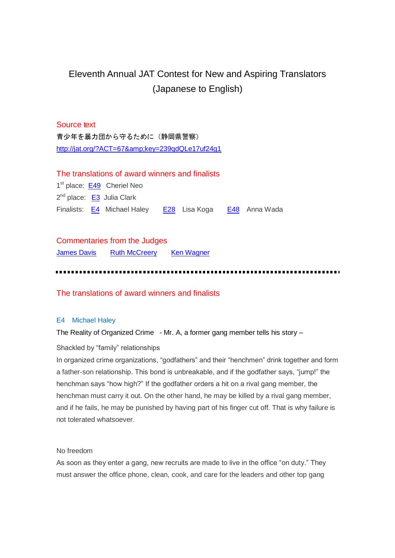# Eleventh Annual JAT Contest for New and Aspiring Translators (Japanese to English)

# Source text

青少年を暴力団から守るために(静岡県警察) <http://jat.org/?ACT=67&key=239qdQLe17uf24g1>

# The translations of award winners and finalists

1<sup>st</sup> place: **[E49](#page-7-0)** Cheriel Neo 2<sup>nd</sup> place: [E3](#page-5-0) Julia Clark Finalists: [E4](#page-0-0) Michael Haley [E28](#page-2-0) Lisa Koga [E48](#page-4-0) Anna Wada

Commentaries from the Judges [James](#page-9-0) Davis Ruth [McCreery](#page-13-0) Ken Wagner

# The translations of award winners and finalists

# <span id="page-0-0"></span>E4 Michael Haley

# The Reality of Organized Crime - Mr. A, a former gang member tells his story –

Shackled by "family" relationships

In organized crime organizations, "godfathers" and their "henchmen" drink together and form a father-son relationship. This bond is unbreakable, and if the godfather says, "jump!" the henchman says "how high?" If the godfather orders a hit on a rival gang member, the henchman must carry it out. On the other hand, he may be killed by a rival gang member, and if he fails, he may be punished by having part of his finger cut off. That is why failure is not tolerated whatsoever.

# No freedom

As soon as they enter a gang, new recruits are made to live in the office "on duty." They must answer the office phone, clean, cook, and care for the leaders and other top gang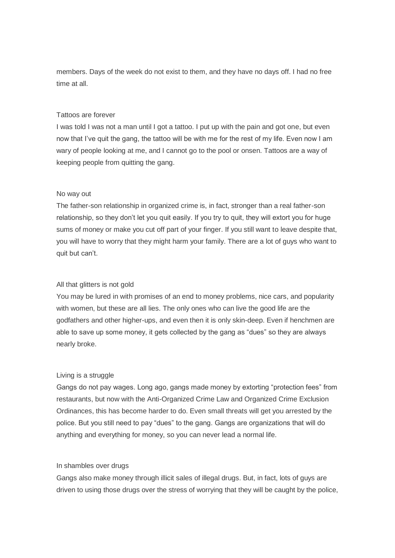members. Days of the week do not exist to them, and they have no days off. I had no free time at all.

#### Tattoos are forever

I was told I was not a man until I got a tattoo. I put up with the pain and got one, but even now that I've quit the gang, the tattoo will be with me for the rest of my life. Even now I am wary of people looking at me, and I cannot go to the pool or onsen. Tattoos are a way of keeping people from quitting the gang.

#### No way out

The father-son relationship in organized crime is, in fact, stronger than a real father-son relationship, so they don't let you quit easily. If you try to quit, they will extort you for huge sums of money or make you cut off part of your finger. If you still want to leave despite that, you will have to worry that they might harm your family. There are a lot of guys who want to quit but can't.

# All that glitters is not gold

You may be lured in with promises of an end to money problems, nice cars, and popularity with women, but these are all lies. The only ones who can live the good life are the godfathers and other higher-ups, and even then it is only skin-deep. Even if henchmen are able to save up some money, it gets collected by the gang as "dues" so they are always nearly broke.

#### Living is a struggle

Gangs do not pay wages. Long ago, gangs made money by extorting "protection fees" from restaurants, but now with the Anti-Organized Crime Law and Organized Crime Exclusion Ordinances, this has become harder to do. Even small threats will get you arrested by the police. But you still need to pay "dues" to the gang. Gangs are organizations that will do anything and everything for money, so you can never lead a normal life.

# In shambles over drugs

Gangs also make money through illicit sales of illegal drugs. But, in fact, lots of guys are driven to using those drugs over the stress of worrying that they will be caught by the police,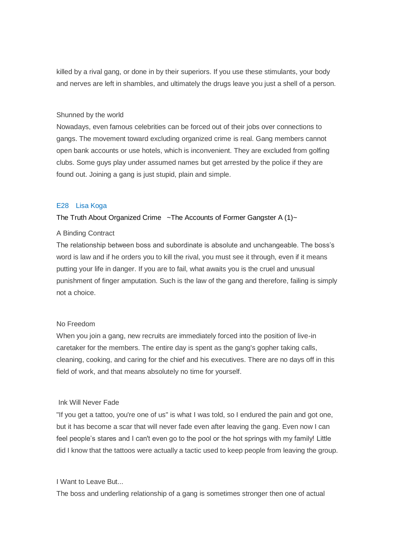killed by a rival gang, or done in by their superiors. If you use these stimulants, your body and nerves are left in shambles, and ultimately the drugs leave you just a shell of a person.

#### Shunned by the world

Nowadays, even famous celebrities can be forced out of their jobs over connections to gangs. The movement toward excluding organized crime is real. Gang members cannot open bank accounts or use hotels, which is inconvenient. They are excluded from golfing clubs. Some guys play under assumed names but get arrested by the police if they are found out. Joining a gang is just stupid, plain and simple.

#### <span id="page-2-0"></span>E28 Lisa Koga

#### The Truth About Organized Crime ~The Accounts of Former Gangster A (1)~

#### A Binding Contract

The relationship between boss and subordinate is absolute and unchangeable. The boss's word is law and if he orders you to kill the rival, you must see it through, even if it means putting your life in danger. If you are to fail, what awaits you is the cruel and unusual punishment of finger amputation. Such is the law of the gang and therefore, failing is simply not a choice.

# No Freedom

When you join a gang, new recruits are immediately forced into the position of live-in caretaker for the members. The entire day is spent as the gang's gopher taking calls, cleaning, cooking, and caring for the chief and his executives. There are no days off in this field of work, and that means absolutely no time for yourself.

## Ink Will Never Fade

"If you get a tattoo, you're one of us" is what I was told, so I endured the pain and got one, but it has become a scar that will never fade even after leaving the gang. Even now I can feel people's stares and I can't even go to the pool or the hot springs with my family! Little did I know that the tattoos were actually a tactic used to keep people from leaving the group.

# I Want to Leave But...

The boss and underling relationship of a gang is sometimes stronger then one of actual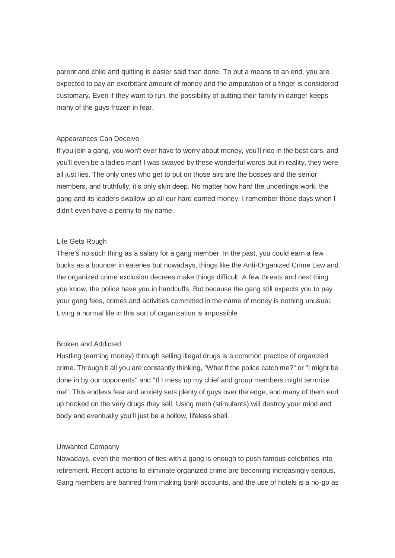parent and child and quitting is easier said than done. To put a means to an end, you are expected to pay an exorbitant amount of money and the amputation of a finger is considered customary. Even if they want to run, the possibility of putting their family in danger keeps many of the guys frozen in fear.

#### Appearances Can Deceive

If you join a gang, you won't ever have to worry about money, you'll ride in the best cars, and you'll even be a ladies man! I was swayed by these wonderful words but in reality, they were all just lies. The only ones who get to put on those airs are the bosses and the senior members, and truthfully, it's only skin deep. No matter how hard the underlings work, the gang and its leaders swallow up all our hard earned money. I remember those days when I didn't even have a penny to my name.

# Life Gets Rough

There's no such thing as a salary for a gang member. In the past, you could earn a few bucks as a bouncer in eateries but nowadays, things like the Anti-Organized Crime Law and the organized crime exclusion decrees make things difficult. A few threats and next thing you know, the police have you in handcuffs. But because the gang still expects you to pay your gang fees, crimes and activities committed in the name of money is nothing unusual. Living a normal life in this sort of organization is impossible.

# Broken and Addicted

Hustling (earning money) through selling illegal drugs is a common practice of organized crime. Through it all you are constantly thinking, "What if the police catch me?" or "I might be done in by our opponents" and "If I mess up my chief and group members might terrorize me". This endless fear and anxiety sets plenty of guys over the edge, and many of them end up hooked on the very drugs they sell. Using meth (stimulants) will destroy your mind and body and eventually you'll just be a hollow, lifeless shell.

# Unwanted Company

Nowadays, even the mention of ties with a gang is enough to push famous celebrities into retirement. Recent actions to eliminate organized crime are becoming increasingly serious. Gang members are banned from making bank accounts, and the use of hotels is a no-go as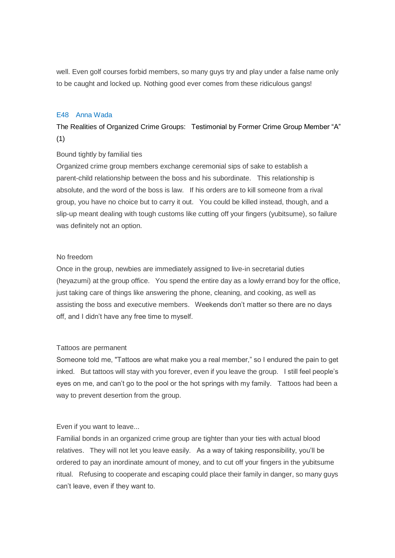<span id="page-4-0"></span>well. Even golf courses forbid members, so many guys try and play under a false name only to be caught and locked up. Nothing good ever comes from these ridiculous gangs!

# E48 Anna Wada

The Realities of Organized Crime Groups: Testimonial by Former Crime Group Member "A" (1)

#### Bound tightly by familial ties

Organized crime group members exchange ceremonial sips of sake to establish a parent-child relationship between the boss and his subordinate. This relationship is absolute, and the word of the boss is law. If his orders are to kill someone from a rival group, you have no choice but to carry it out. You could be killed instead, though, and a slip-up meant dealing with tough customs like cutting off your fingers (yubitsume), so failure was definitely not an option.

# No freedom

Once in the group, newbies are immediately assigned to live-in secretarial duties (heyazumi) at the group office. You spend the entire day as a lowly errand boy for the office, just taking care of things like answering the phone, cleaning, and cooking, as well as assisting the boss and executive members. Weekends don't matter so there are no days off, and I didn't have any free time to myself.

# Tattoos are permanent

Someone told me, "Tattoos are what make you a real member," so I endured the pain to get inked. But tattoos will stay with you forever, even if you leave the group. I still feel people's eyes on me, and can't go to the pool or the hot springs with my family. Tattoos had been a way to prevent desertion from the group.

# Even if you want to leave...

Familial bonds in an organized crime group are tighter than your ties with actual blood relatives. They will not let you leave easily. As a way of taking responsibility, you'll be ordered to pay an inordinate amount of money, and to cut off your fingers in the yubitsume ritual. Refusing to cooperate and escaping could place their family in danger, so many guys can't leave, even if they want to.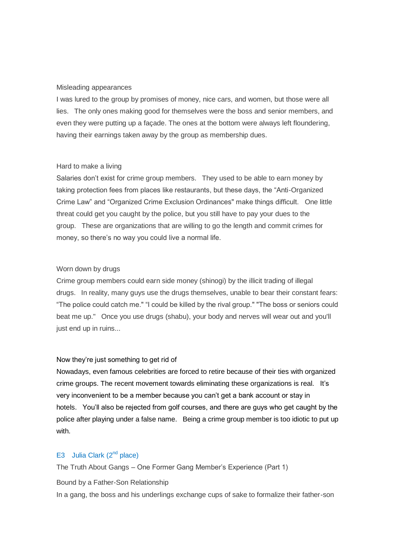#### Misleading appearances

I was lured to the group by promises of money, nice cars, and women, but those were all lies. The only ones making good for themselves were the boss and senior members, and even they were putting up a façade. The ones at the bottom were always left floundering, having their earnings taken away by the group as membership dues.

#### Hard to make a living

Salaries don't exist for crime group members. They used to be able to earn money by taking protection fees from places like restaurants, but these days, the "Anti-Organized Crime Law" and "Organized Crime Exclusion Ordinances" make things difficult. One little threat could get you caught by the police, but you still have to pay your dues to the group. These are organizations that are willing to go the length and commit crimes for money, so there's no way you could live a normal life.

#### Worn down by drugs

Crime group members could earn side money (shinogi) by the illicit trading of illegal drugs. In reality, many guys use the drugs themselves, unable to bear their constant fears: "The police could catch me." "I could be killed by the rival group." "The boss or seniors could beat me up." Once you use drugs (shabu), your body and nerves will wear out and you'll just end up in ruins...

# Now they're just something to get rid of

Nowadays, even famous celebrities are forced to retire because of their ties with organized crime groups. The recent movement towards eliminating these organizations is real. It's very inconvenient to be a member because you can't get a bank account or stay in hotels. You'll also be rejected from golf courses, and there are guys who get caught by the police after playing under a false name. Being a crime group member is too idiotic to put up with.

# <span id="page-5-0"></span>E3 Julia Clark  $(2^{nd}$  place)

The Truth About Gangs – One Former Gang Member's Experience (Part 1)

Bound by a Father-Son Relationship

In a gang, the boss and his underlings exchange cups of sake to formalize their father-son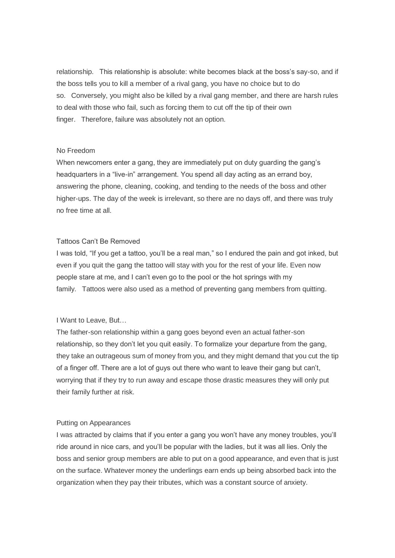relationship. This relationship is absolute: white becomes black at the boss's say-so, and if the boss tells you to kill a member of a rival gang, you have no choice but to do so. Conversely, you might also be killed by a rival gang member, and there are harsh rules to deal with those who fail, such as forcing them to cut off the tip of their own finger. Therefore, failure was absolutely not an option.

#### No Freedom

When newcomers enter a gang, they are immediately put on duty guarding the gang's headquarters in a "live-in" arrangement. You spend all day acting as an errand boy, answering the phone, cleaning, cooking, and tending to the needs of the boss and other higher-ups. The day of the week is irrelevant, so there are no days off, and there was truly no free time at all.

#### Tattoos Can't Be Removed

I was told, "If you get a tattoo, you'll be a real man," so I endured the pain and got inked, but even if you quit the gang the tattoo will stay with you for the rest of your life. Even now people stare at me, and I can't even go to the pool or the hot springs with my family. Tattoos were also used as a method of preventing gang members from quitting.

# I Want to Leave, But…

The father-son relationship within a gang goes beyond even an actual father-son relationship, so they don't let you quit easily. To formalize your departure from the gang, they take an outrageous sum of money from you, and they might demand that you cut the tip of a finger off. There are a lot of guys out there who want to leave their gang but can't, worrying that if they try to run away and escape those drastic measures they will only put their family further at risk.

#### Putting on Appearances

I was attracted by claims that if you enter a gang you won't have any money troubles, you'll ride around in nice cars, and you'll be popular with the ladies, but it was all lies. Only the boss and senior group members are able to put on a good appearance, and even that is just on the surface. Whatever money the underlings earn ends up being absorbed back into the organization when they pay their tributes, which was a constant source of anxiety.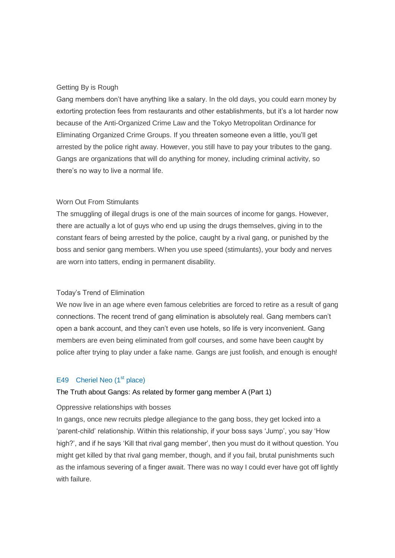# Getting By is Rough

Gang members don't have anything like a salary. In the old days, you could earn money by extorting protection fees from restaurants and other establishments, but it's a lot harder now because of the Anti-Organized Crime Law and the Tokyo Metropolitan Ordinance for Eliminating Organized Crime Groups. If you threaten someone even a little, you'll get arrested by the police right away. However, you still have to pay your tributes to the gang. Gangs are organizations that will do anything for money, including criminal activity, so there's no way to live a normal life.

# Worn Out From Stimulants

The smuggling of illegal drugs is one of the main sources of income for gangs. However, there are actually a lot of guys who end up using the drugs themselves, giving in to the constant fears of being arrested by the police, caught by a rival gang, or punished by the boss and senior gang members. When you use speed (stimulants), your body and nerves are worn into tatters, ending in permanent disability.

#### Today's Trend of Elimination

We now live in an age where even famous celebrities are forced to retire as a result of gang connections. The recent trend of gang elimination is absolutely real. Gang members can't open a bank account, and they can't even use hotels, so life is very inconvenient. Gang members are even being eliminated from golf courses, and some have been caught by police after trying to play under a fake name. Gangs are just foolish, and enough is enough!

# <span id="page-7-0"></span>E49 Cheriel Neo (1<sup>st</sup> place)

#### The Truth about Gangs: As related by former gang member A (Part 1)

#### Oppressive relationships with bosses

In gangs, once new recruits pledge allegiance to the gang boss, they get locked into a 'parent-child' relationship. Within this relationship, if your boss says 'Jump', you say 'How high?', and if he says 'Kill that rival gang member', then you must do it without question. You might get killed by that rival gang member, though, and if you fail, brutal punishments such as the infamous severing of a finger await. There was no way I could ever have got off lightly with failure.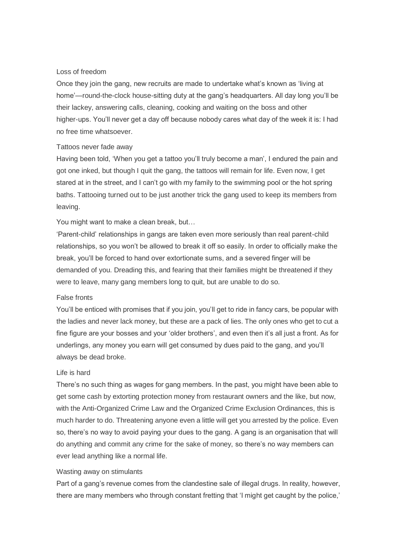# Loss of freedom

Once they join the gang, new recruits are made to undertake what's known as 'living at home'—round-the-clock house-sitting duty at the gang's headquarters. All day long you'll be their lackey, answering calls, cleaning, cooking and waiting on the boss and other higher-ups. You'll never get a day off because nobody cares what day of the week it is: I had no free time whatsoever.

#### Tattoos never fade away

Having been told, 'When you get a tattoo you'll truly become a man', I endured the pain and got one inked, but though I quit the gang, the tattoos will remain for life. Even now, I get stared at in the street, and I can't go with my family to the swimming pool or the hot spring baths. Tattooing turned out to be just another trick the gang used to keep its members from leaving.

You might want to make a clean break, but…

'Parent-child' relationships in gangs are taken even more seriously than real parent-child relationships, so you won't be allowed to break it off so easily. In order to officially make the break, you'll be forced to hand over extortionate sums, and a severed finger will be demanded of you. Dreading this, and fearing that their families might be threatened if they were to leave, many gang members long to quit, but are unable to do so.

#### False fronts

You'll be enticed with promises that if you join, you'll get to ride in fancy cars, be popular with the ladies and never lack money, but these are a pack of lies. The only ones who get to cut a fine figure are your bosses and your 'older brothers', and even then it's all just a front. As for underlings, any money you earn will get consumed by dues paid to the gang, and you'll always be dead broke.

# Life is hard

There's no such thing as wages for gang members. In the past, you might have been able to get some cash by extorting protection money from restaurant owners and the like, but now, with the Anti-Organized Crime Law and the Organized Crime Exclusion Ordinances, this is much harder to do. Threatening anyone even a little will get you arrested by the police. Even so, there's no way to avoid paying your dues to the gang. A gang is an organisation that will do anything and commit any crime for the sake of money, so there's no way members can ever lead anything like a normal life.

#### Wasting away on stimulants

Part of a gang's revenue comes from the clandestine sale of illegal drugs. In reality, however, there are many members who through constant fretting that 'I might get caught by the police,'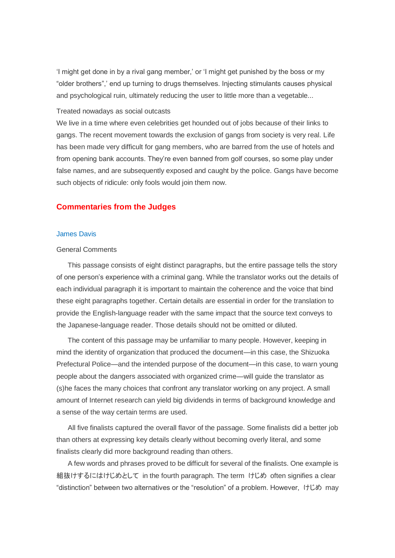'I might get done in by a rival gang member,' or 'I might get punished by the boss or my "older brothers",' end up turning to drugs themselves. Injecting stimulants causes physical and psychological ruin, ultimately reducing the user to little more than a vegetable...

#### Treated nowadays as social outcasts

We live in a time where even celebrities get hounded out of jobs because of their links to gangs. The recent movement towards the exclusion of gangs from society is very real. Life has been made very difficult for gang members, who are barred from the use of hotels and from opening bank accounts. They're even banned from golf courses, so some play under false names, and are subsequently exposed and caught by the police. Gangs have become such objects of ridicule: only fools would join them now.

# **Commentaries from the Judges**

#### <span id="page-9-0"></span>James Davis

#### General Comments

This passage consists of eight distinct paragraphs, but the entire passage tells the story of one person's experience with a criminal gang. While the translator works out the details of each individual paragraph it is important to maintain the coherence and the voice that bind these eight paragraphs together. Certain details are essential in order for the translation to provide the English-language reader with the same impact that the source text conveys to the Japanese-language reader. Those details should not be omitted or diluted.

The content of this passage may be unfamiliar to many people. However, keeping in mind the identity of organization that produced the document—in this case, the Shizuoka Prefectural Police—and the intended purpose of the document—in this case, to warn young people about the dangers associated with organized crime—will guide the translator as (s)he faces the many choices that confront any translator working on any project. A small amount of Internet research can yield big dividends in terms of background knowledge and a sense of the way certain terms are used.

All five finalists captured the overall flavor of the passage. Some finalists did a better job than others at expressing key details clearly without becoming overly literal, and some finalists clearly did more background reading than others.

A few words and phrases proved to be difficult for several of the finalists. One example is 組抜けするにはけじめとして in the fourth paragraph. The term けじめ often signifies a clear "distinction" between two alternatives or the "resolution" of a problem. However, けじめ may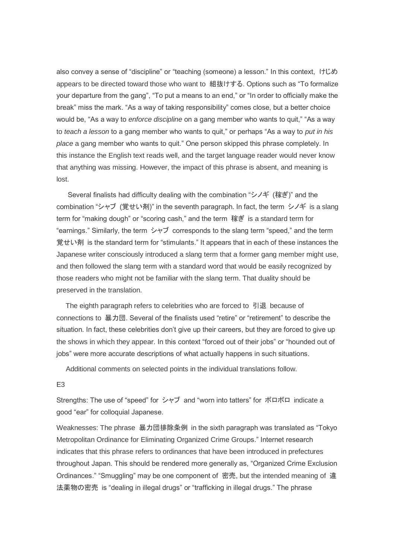also convey a sense of "discipline" or "teaching (someone) a lesson." In this context, けじめ appears to be directed toward those who want to 組抜けする. Options such as "To formalize your departure from the gang", "To put a means to an end," or "In order to officially make the break" miss the mark. "As a way of taking responsibility" comes close, but a better choice would be, "As a way to *enforce discipline* on a gang member who wants to quit," "As a way to *teach a lesson* to a gang member who wants to quit," or perhaps "As a way to *put in his place* a gang member who wants to quit." One person skipped this phrase completely. In this instance the English text reads well, and the target language reader would never know that anything was missing. However, the impact of this phrase is absent, and meaning is lost.

Several finalists had difficulty dealing with the combination "シノギ (稼ぎ)" and the combination "シャブ (覚せい剤)" in the seventh paragraph. In fact, the term シノギ is a slang term for "making dough" or "scoring cash," and the term 稼ぎ is a standard term for "earnings." Similarly, the term シャブ corresponds to the slang term "speed," and the term 覚せい剤 is the standard term for "stimulants." It appears that in each of these instances the Japanese writer consciously introduced a slang term that a former gang member might use, and then followed the slang term with a standard word that would be easily recognized by those readers who might not be familiar with the slang term. That duality should be preserved in the translation.

The eighth paragraph refers to celebrities who are forced to 引退 because of connections to 暴力団. Several of the finalists used "retire" or "retirement" to describe the situation. In fact, these celebrities don't give up their careers, but they are forced to give up the shows in which they appear. In this context "forced out of their jobs" or "hounded out of jobs" were more accurate descriptions of what actually happens in such situations.

Additional comments on selected points in the individual translations follow.

#### E3

Strengths: The use of "speed" for シャブ and "worn into tatters" for ボロボロ indicate a good "ear" for colloquial Japanese.

Weaknesses: The phrase 暴力団排除条例 in the sixth paragraph was translated as "Tokyo Metropolitan Ordinance for Eliminating Organized Crime Groups." Internet research indicates that this phrase refers to ordinances that have been introduced in prefectures throughout Japan. This should be rendered more generally as, "Organized Crime Exclusion Ordinances." "Smuggling" may be one component of 密売, but the intended meaning of 違 法薬物の密売 is "dealing in illegal drugs" or "trafficking in illegal drugs." The phrase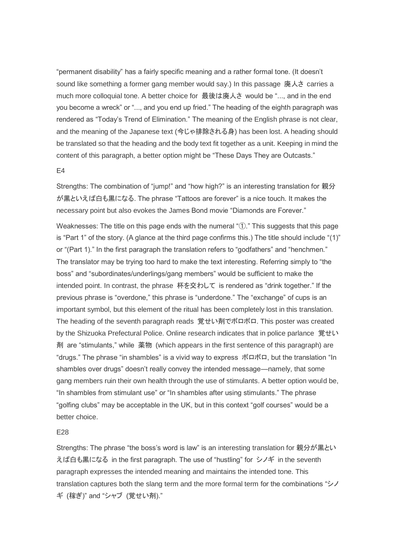"permanent disability" has a fairly specific meaning and a rather formal tone. (It doesn't sound like something a former gang member would say.) In this passage 廃人さ carries a much more colloquial tone. A better choice for 最後は廃人さ would be "..., and in the end you become a wreck" or "..., and you end up fried." The heading of the eighth paragraph was rendered as "Today's Trend of Elimination." The meaning of the English phrase is not clear, and the meaning of the Japanese text (今じゃ排除される身) has been lost. A heading should be translated so that the heading and the body text fit together as a unit. Keeping in mind the content of this paragraph, a better option might be "These Days They are Outcasts."

#### E4

Strengths: The combination of "jump!" and "how high?" is an interesting translation for 親分 が黒といえば白も黒になる. The phrase "Tattoos are forever" is a nice touch. It makes the necessary point but also evokes the James Bond movie "Diamonds are Forever."

Weaknesses: The title on this page ends with the numeral "①." This suggests that this page is "Part 1" of the story. (A glance at the third page confirms this.) The title should include "(1)" or "(Part 1)." In the first paragraph the translation refers to "godfathers" and "henchmen." The translator may be trying too hard to make the text interesting. Referring simply to "the boss" and "subordinates/underlings/gang members" would be sufficient to make the intended point. In contrast, the phrase 杯を交わして is rendered as "drink together." If the previous phrase is "overdone," this phrase is "underdone." The "exchange" of cups is an important symbol, but this element of the ritual has been completely lost in this translation. The heading of the seventh paragraph reads 覚せい剤でボロボロ. This poster was created by the Shizuoka Prefectural Police. Online research indicates that in police parlance 覚せい 剤 are "stimulants," while 薬物 (which appears in the first sentence of this paragraph) are "drugs." The phrase "in shambles" is a vivid way to express ボロボロ, but the translation "In shambles over drugs" doesn't really convey the intended message—namely, that some gang members ruin their own health through the use of stimulants. A better option would be, "In shambles from stimulant use" or "In shambles after using stimulants." The phrase "golfing clubs" may be acceptable in the UK, but in this context "golf courses" would be a better choice.

#### E28

Strengths: The phrase "the boss's word is law" is an interesting translation for 親分が黒とい えば白も黒になる in the first paragraph. The use of "hustling" for シノギ in the seventh paragraph expresses the intended meaning and maintains the intended tone. This translation captures both the slang term and the more formal term for the combinations "シノ ギ (稼ぎ)" and "シャブ (覚せい剤)."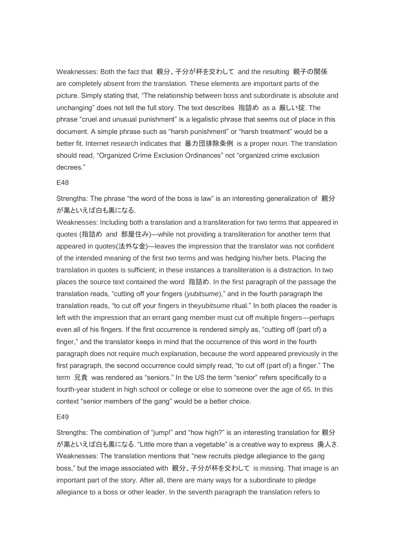Weaknesses: Both the fact that 親分、子分が杯を交わして and the resulting 親子の関係 are completely absent from the translation. These elements are important parts of the picture. Simply stating that, "The relationship between boss and subordinate is absolute and unchanging" does not tell the full story. The text describes 指詰め as a 厳しい掟. The phrase "cruel and unusual punishment" is a legalistic phrase that seems out of place in this document. A simple phrase such as "harsh punishment" or "harsh treatment" would be a better fit. Internet research indicates that 暴力団排除条例 is a proper noun. The translation should read, "Organized Crime Exclusion Ordinances" not "organized crime exclusion decrees."

#### E48

Strengths: The phrase "the word of the boss is law" is an interesting generalization of 親分 が黒といえば白も黒になる.

Weaknesses: Including both a translation and a transliteration for two terms that appeared in quotes (指詰め and 部屋住み)—while not providing a transliteration for another term that appeared in quotes(法外な金)—leaves the impression that the translator was not confident of the intended meaning of the first two terms and was hedging his/her bets. Placing the translation in quotes is sufficient; in these instances a transliteration is a distraction. In two places the source text contained the word 指詰め. In the first paragraph of the passage the translation reads, "cutting off your fingers (*yubitsume*)," and in the fourth paragraph the translation reads, "to cut off your fingers in the*yubitsume* ritual." In both places the reader is left with the impression that an errant gang member must cut off multiple fingers—perhaps even all of his fingers. If the first occurrence is rendered simply as, "cutting off (part of) a finger," and the translator keeps in mind that the occurrence of this word in the fourth paragraph does not require much explanation, because the word appeared previously in the first paragraph, the second occurrence could simply read, "to cut off (part of) a finger." The term 兄貴 was rendered as "seniors." In the US the term "senior" refers specifically to a fourth-year student in high school or college or else to someone over the age of 65. In this context "senior members of the gang" would be a better choice.

#### E49

Strengths: The combination of "jump!" and "how high?" is an interesting translation for 親分 が黒といえば白も黒になる. "Little more than a vegetable" is a creative way to express 廃人さ. Weaknesses: The translation mentions that "new recruits pledge allegiance to the gang boss," but the image associated with 親分、子分が杯を交わして is missing. That image is an important part of the story. After all, there are many ways for a subordinate to pledge allegiance to a boss or other leader. In the seventh paragraph the translation refers to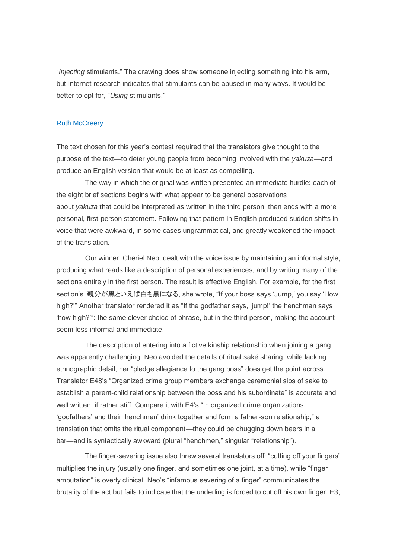"*Injecting* stimulants." The drawing does show someone injecting something into his arm, but Internet research indicates that stimulants can be abused in many ways. It would be better to opt for, "*Using* stimulants."

## <span id="page-13-0"></span>**Ruth McCreery**

The text chosen for this year's contest required that the translators give thought to the purpose of the text—to deter young people from becoming involved with the *yakuza*—and produce an English version that would be at least as compelling.

The way in which the original was written presented an immediate hurdle: each of the eight brief sections begins with what appear to be general observations about *yakuza* that could be interpreted as written in the third person, then ends with a more personal, first-person statement. Following that pattern in English produced sudden shifts in voice that were awkward, in some cases ungrammatical, and greatly weakened the impact of the translation.

Our winner, Cheriel Neo, dealt with the voice issue by maintaining an informal style, producing what reads like a description of personal experiences, and by writing many of the sections entirely in the first person. The result is effective English. For example, for the first section's 親分が黒といえば白も黒になる, she wrote, "If your boss says 'Jump,' you say 'How high?'" Another translator rendered it as "If the godfather says, 'jump!' the henchman says 'how high?'": the same clever choice of phrase, but in the third person, making the account seem less informal and immediate.

The description of entering into a fictive kinship relationship when joining a gang was apparently challenging. Neo avoided the details of ritual saké sharing; while lacking ethnographic detail, her "pledge allegiance to the gang boss" does get the point across. Translator E48's "Organized crime group members exchange ceremonial sips of sake to establish a parent-child relationship between the boss and his subordinate" is accurate and well written, if rather stiff. Compare it with E4's "In organized crime organizations, 'godfathers' and their 'henchmen' drink together and form a father-son relationship," a translation that omits the ritual component—they could be chugging down beers in a bar—and is syntactically awkward (plural "henchmen," singular "relationship").

The finger-severing issue also threw several translators off: "cutting off your fingers" multiplies the injury (usually one finger, and sometimes one joint, at a time), while "finger amputation" is overly clinical. Neo's "infamous severing of a finger" communicates the brutality of the act but fails to indicate that the underling is forced to cut off his own finger. E3,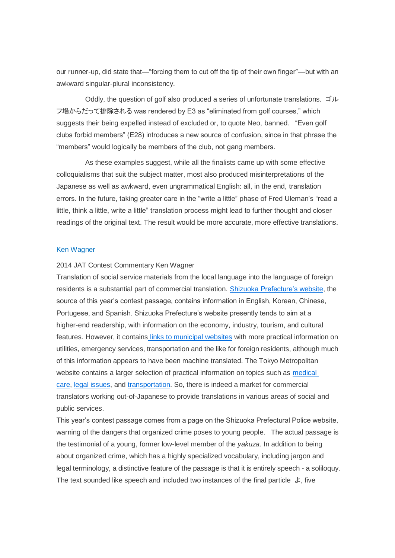our runner-up, did state that—"forcing them to cut off the tip of their own finger"—but with an awkward singular-plural inconsistency.

Oddly, the question of golf also produced a series of unfortunate translations. ゴル フ場からだって排除される was rendered by E3 as "eliminated from golf courses," which suggests their being expelled instead of excluded or, to quote Neo, banned. "Even golf clubs forbid members" (E28) introduces a new source of confusion, since in that phrase the "members" would logically be members of the club, not gang members.

As these examples suggest, while all the finalists came up with some effective colloquialisms that suit the subject matter, most also produced misinterpretations of the Japanese as well as awkward, even ungrammatical English: all, in the end, translation errors. In the future, taking greater care in the "write a little" phase of Fred Uleman's "read a little, think a little, write a little" translation process might lead to further thought and closer readings of the original text. The result would be more accurate, more effective translations.

# <span id="page-14-0"></span>Ken Wagner

#### 2014 JAT Contest Commentary Ken Wagner

Translation of social service materials from the local language into the language of foreign residents is a substantial part of commercial translation. Shizuoka [Prefecture's](http://www.pref.shizuoka.jp/) website, the source of this year's contest passage, contains information in English, Korean, Chinese, Portugese, and Spanish. Shizuoka Prefecture's website presently tends to aim at a higher-end readership, with information on the economy, industry, tourism, and cultural features. However, it contains links to [municipal](http://www.pref.shizuoka.jp/link/citylink.html) websites with more practical information on utilities, emergency services, transportation and the like for foreign residents, although much of this information appears to have been machine translated. The Tokyo Metropolitan website contains a larger selection of practical information on topics such as [medical](http://www.metro.tokyo.jp/LIVING/kenko.htm) [care,](http://www.metro.tokyo.jp/LIVING/kenko.htm) legal [issues,](http://www.metro.tokyo.jp/LIVING/fukushi.htm) and [transportation.](http://www.metro.tokyo.jp/URBAN/lifeline.htm) So, there is indeed a market for commercial translators working out-of-Japanese to provide translations in various areas of social and public services.

This year's contest passage comes from a page on the Shizuoka Prefectural Police website, warning of the dangers that organized crime poses to young people. The actual passage is the testimonial of a young, former low-level member of the *yakuza*. In addition to being about organized crime, which has a highly specialized vocabulary, including jargon and legal terminology, a distinctive feature of the passage is that it is entirely speech - a soliloquy. The text sounded like speech and included two instances of the final particle  $\pm$ , five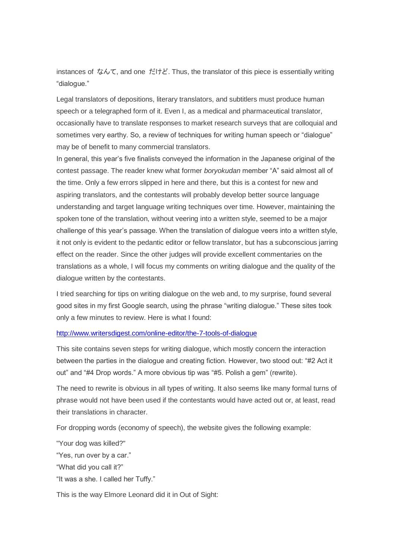instances of なんて, and one だけど. Thus, the translator of this piece is essentially writing "dialogue."

Legal translators of depositions, literary translators, and subtitlers must produce human speech or a telegraphed form of it. Even I, as a medical and pharmaceutical translator, occasionally have to translate responses to market research surveys that are colloquial and sometimes very earthy. So, a review of techniques for writing human speech or "dialogue" may be of benefit to many commercial translators.

In general, this year's five finalists conveyed the information in the Japanese original of the contest passage. The reader knew what former *boryokudan* member "A" said almost all of the time. Only a few errors slipped in here and there, but this is a contest for new and aspiring translators, and the contestants will probably develop better source language understanding and target language writing techniques over time. However, maintaining the spoken tone of the translation, without veering into a written style, seemed to be a major challenge of this year's passage. When the translation of dialogue veers into a written style, it not only is evident to the pedantic editor or fellow translator, but has a subconscious jarring effect on the reader. Since the other judges will provide excellent commentaries on the translations as a whole, I will focus my comments on writing dialogue and the quality of the dialogue written by the contestants.

I tried searching for tips on writing dialogue on the web and, to my surprise, found several good sites in my first Google search, using the phrase "writing dialogue." These sites took only a few minutes to review. Here is what I found:

# <http://www.writersdigest.com/online-editor/the-7-tools-of-dialogue>

This site contains seven steps for writing dialogue, which mostly concern the interaction between the parties in the dialogue and creating fiction. However, two stood out: "#2 Act it out" and "#4 Drop words." A more obvious tip was "#5. Polish a gem" (rewrite).

The need to rewrite is obvious in all types of writing. It also seems like many formal turns of phrase would not have been used if the contestants would have acted out or, at least, read their translations in character.

For dropping words (economy of speech), the website gives the following example:

"Your dog was killed?"

"Yes, run over by a car."

"What did you call it?"

"It was a she. I called her Tuffy."

This is the way Elmore Leonard did it in Out of Sight: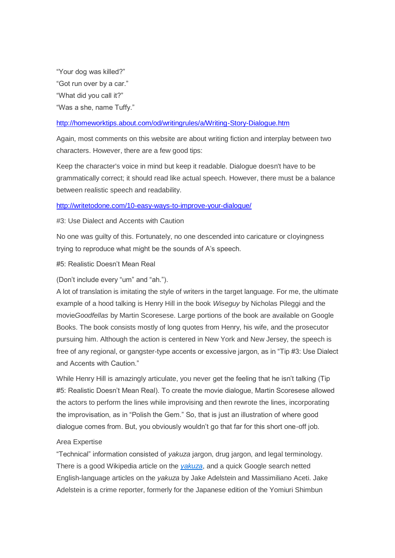"Your dog was killed?" "Got run over by a car." "What did you call it?" "Was a she, name Tuffy."

# <http://homeworktips.about.com/od/writingrules/a/Writing-Story-Dialogue.htm>

Again, most comments on this website are about writing fiction and interplay between two characters. However, there are a few good tips:

Keep the character's voice in mind but keep it readable. Dialogue doesn't have to be grammatically correct; it should read like actual speech. However, there must be a balance between realistic speech and readability.

#### <http://writetodone.com/10-easy-ways-to-improve-your-dialogue/>

# #3: Use Dialect and Accents with Caution

No one was guilty of this. Fortunately, no one descended into caricature or cloyingness trying to reproduce what might be the sounds of A's speech.

#5: Realistic Doesn't Mean Real

# (Don't include every "um" and "ah.").

A lot of translation is imitating the style of writers in the target language. For me, the ultimate example of a hood talking is Henry Hill in the book *Wiseguy* by Nicholas Pileggi and the movie*Goodfellas* by Martin Scoresese. Large portions of the book are available on Google Books. The book consists mostly of long quotes from Henry, his wife, and the prosecutor pursuing him. Although the action is centered in New York and New Jersey, the speech is free of any regional, or gangster-type accents or excessive jargon, as in "Tip #3: Use Dialect and Accents with Caution."

While Henry Hill is amazingly articulate, you never get the feeling that he isn't talking (Tip #5: Realistic Doesn't Mean Real). To create the movie dialogue, Martin Scoresese allowed the actors to perform the lines while improvising and then rewrote the lines, incorporating the improvisation, as in "Polish the Gem." So, that is just an illustration of where good dialogue comes from. But, you obviously wouldn't go that far for this short one-off job.

# Area Expertise

"Technical" information consisted of *yakuza* jargon, drug jargon, and legal terminology. There is a good Wikipedia article on the *[yakuza](http://en.wikipedia.org/wiki/Yakuza)*, and a quick Google search netted English-language articles on the *yakuza* by Jake Adelstein and Massimiliano Aceti. Jake Adelstein is a crime reporter, formerly for the Japanese edition of the Yomiuri Shimbun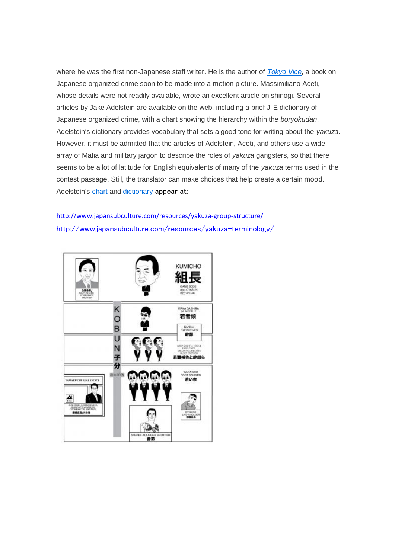where he was the first non-Japanese staff writer. He is the author of *[Tokyo](http://en.wikipedia.org/wiki/Yakuza) Vice*, a book on Japanese organized crime soon to be made into a motion picture. Massimiliano Aceti, whose details were not readily available, wrote an excellent article on shinogi. Several articles by Jake Adelstein are available on the web, including a brief J-E dictionary of Japanese organized crime, with a chart showing the hierarchy within the *boryokudan*. Adelstein's dictionary provides vocabulary that sets a good tone for writing about the *yakuza*. However, it must be admitted that the articles of Adelstein, Aceti, and others use a wide array of Mafia and military jargon to describe the roles of *yakuza* gangsters, so that there seems to be a lot of latitude for English equivalents of many of the *yakuza* terms used in the contest passage. Still, the translator can make choices that help create a certain mood. Adelstein's [chart](http://www.japansubculture.com/resources/yakuza-group-structure/) and [dictionary](http://www.japansubculture.com/resources/yakuza-terminology/) appear at:

<http://www.japansubculture.com/resources/yakuza-group-structure/> <http://www.japansubculture.com/resources/yakuza-terminology/>

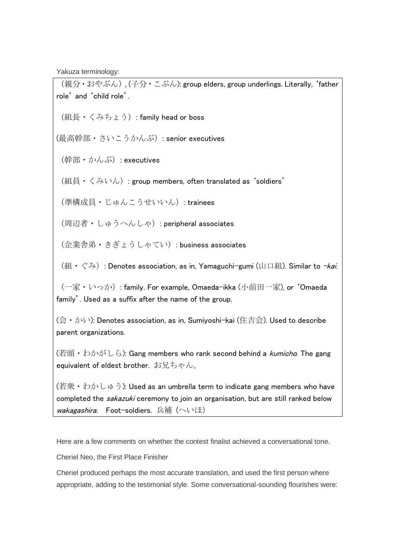Yakuza terminology:

(親分·おやぶん), (子分·こぶん): group elders, group underlings. Literally, 'father role' and 'child role'. (組長・くみちょう): family head or boss (最高幹部・さいこうかんぶ): senior executives (幹部・かんぶ): executives (組員・くみいん): group members, often translated as 'soldiers' (準構成員・じゅんこうせいいん): trainees (周辺者・しゅうへんしゃ): peripheral associates (企業舎弟・きぎょうしゃてい): business associates (組・ぐみ): Denotes association, as in, Yamaguchi-gumi (山口組). Similar to -kai. (一家・いっか): family. For example, Omaeda-ikka (小前田一家), or 'Omaeda family'. Used as a suffix after the name of the group. (会・かい): Denotes association, as in, Sumiyoshi-kai (住吉会). Used to describe parent organizations.

(若頭・わかがしら): Gang members who rank second behind a *kumicho*. The gang equivalent of eldest brother. お兄ちゃん。

 $(\overline{H} \mathcal{R} \cdot \overline{D} \mathcal{D} \cup \mathcal{D} \circ \overline{D})$ : Used as an umbrella term to indicate gang members who have completed the sakazuki ceremony to join an organisation, but are still ranked below wakagashira. Foot-soldiers. 兵補 (へいほ)

Here are a few comments on whether the contest finalist achieved a conversational tone.

Cheriel Neo, the First Place Finisher

Cheriel produced perhaps the most accurate translation, and used the first person where appropriate, adding to the testimonial style. Some conversational-sounding flourishes were: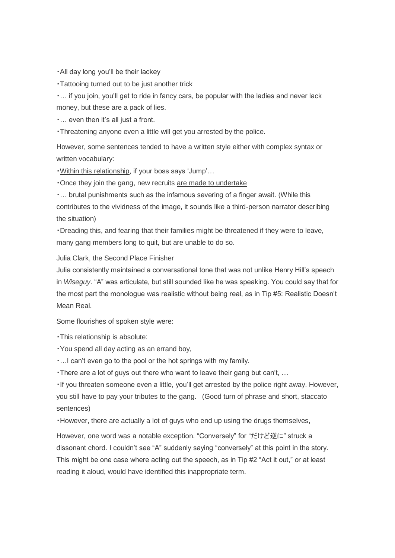・All day long you'll be their lackey

・Tattooing turned out to be just another trick

・… if you join, you'll get to ride in fancy cars, be popular with the ladies and never lack money, but these are a pack of lies.

・… even then it's all just a front.

・Threatening anyone even a little will get you arrested by the police.

However, some sentences tended to have a written style either with complex syntax or written vocabulary:

・Within this relationship, if your boss says 'Jump'…

・Once they join the gang, new recruits are made to undertake

・… brutal punishments such as the infamous severing of a finger await. (While this contributes to the vividness of the image, it sounds like a third-person narrator describing the situation)

・Dreading this, and fearing that their families might be threatened if they were to leave, many gang members long to quit, but are unable to do so.

Julia Clark, the Second Place Finisher

Julia consistently maintained a conversational tone that was not unlike Henry Hill's speech in *Wiseguy*. "A" was articulate, but still sounded like he was speaking. You could say that for the most part the monologue was realistic without being real, as in Tip #5: Realistic Doesn't Mean Real.

Some flourishes of spoken style were:

・This relationship is absolute:

・You spend all day acting as an errand boy,

・…I can't even go to the pool or the hot springs with my family.

・There are a lot of guys out there who want to leave their gang but can't, …

・If you threaten someone even a little, you'll get arrested by the police right away. However, you still have to pay your tributes to the gang. (Good turn of phrase and short, staccato sentences)

・However, there are actually a lot of guys who end up using the drugs themselves,

However, one word was a notable exception. "Conversely" for "だけど逆に" struck a dissonant chord. I couldn't see "A" suddenly saying "conversely" at this point in the story. This might be one case where acting out the speech, as in Tip #2 "Act it out," or at least reading it aloud, would have identified this inappropriate term.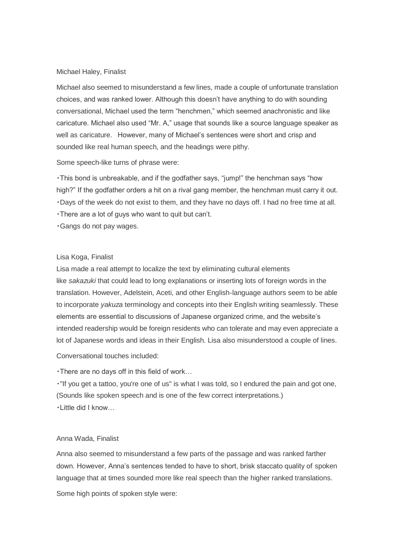#### Michael Haley, Finalist

Michael also seemed to misunderstand a few lines, made a couple of unfortunate translation choices, and was ranked lower. Although this doesn't have anything to do with sounding conversational, Michael used the term "henchmen," which seemed anachronistic and like caricature. Michael also used "Mr. A," usage that sounds like a source language speaker as well as caricature. However, many of Michael's sentences were short and crisp and sounded like real human speech, and the headings were pithy.

Some speech-like turns of phrase were:

・This bond is unbreakable, and if the godfather says, "jump!" the henchman says "how high?" If the godfather orders a hit on a rival gang member, the henchman must carry it out. ・Days of the week do not exist to them, and they have no days off. I had no free time at all. ・There are a lot of guys who want to quit but can't.

・Gangs do not pay wages.

## Lisa Koga, Finalist

Lisa made a real attempt to localize the text by eliminating cultural elements like *sakazuki* that could lead to long explanations or inserting lots of foreign words in the translation. However, Adelstein, Aceti, and other English-language authors seem to be able to incorporate *yakuza* terminology and concepts into their English writing seamlessly. These elements are essential to discussions of Japanese organized crime, and the website's intended readership would be foreign residents who can tolerate and may even appreciate a lot of Japanese words and ideas in their English. Lisa also misunderstood a couple of lines.

Conversational touches included:

・There are no days off in this field of work…

・"If you get a tattoo, you're one of us" is what I was told, so I endured the pain and got one, (Sounds like spoken speech and is one of the few correct interpretations.) ・Little did I know…

# Anna Wada, Finalist

Anna also seemed to misunderstand a few parts of the passage and was ranked farther down. However, Anna's sentences tended to have to short, brisk staccato quality of spoken language that at times sounded more like real speech than the higher ranked translations.

Some high points of spoken style were: